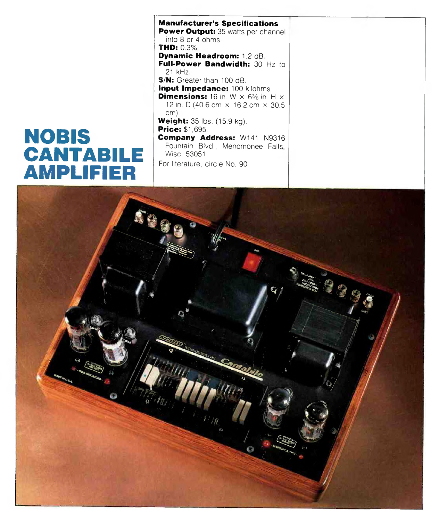## NOBIS CANTABILE AMPLIFIER

**M anufacturer's Specifications Power Output:** 35 watts per channel into 8 or 4 ohms. **THD:** 0.3%. **Dynamic Headroom:** 1.2 dB Full-Power Bandwidth: 30 Hz to 21 kHz. **S/N:** Greater than 100 dB. **Input Impedance:** 100 kilohms. **Dimensions:** 16 in. W  $\times$  6% in. H  $\times$ 12 in. D (40.6 cm  $\times$  16.2 cm  $\times$  30.5 cm). **Weight:** 35 lbs. (15.9 kg). **Price:** \$1,695. **Company Address:** W141 N9316 Fountain Blvd., Menomonee Falls Wise. 53051. For literature, circle No. 90

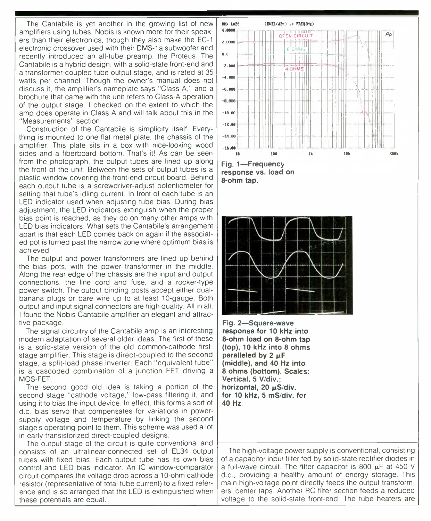The Cantabile is yet another in the growing list of new amplifiers using tubes. Nobis is known more for their speakers than their electronics, though they also make the EC-1 electronic crossover used with their DMS-1 a subwoofer and recently introduced an all-tube preamp, the Proteus. The Cantabile is a hybrid design, with a solid-state front-end and a transformer-coupled tube output stage, and is rated at 35 watts per channel. Though the owner's manual does not discuss it, the amplifier's nameplate says "Class A," and a brochure that came with the unit refers to Class-A operation of the output stage. I checked on the extent to which the amp does operate in Class A and will talk about this in the "Measurements" section.

Construction of the Cantabile is simplicity itself. Everything is mounted to one flat metal plate, the chassis of the amplifier. This plate sits in a box with nice-looking wood sides and a fiberboard bottom. That's it! As can be seen from the photograph, the output tubes are lined up along the front of the unit. Between the sets of output tubes is a plastic window covering the front-end circuit board. Behind each output tube is a screwdriver-adjust potentiometer for setting that tube's idling current. In front of each tube is an LED indicator used when adjusting tube bias. During bias adjustment, the LED indicators extinguish when the proper bias point is reached, as they do on many other amps with LED bias indicators. What sets the Cantabile's arrangement apart is that each LED comes back on again if the associated pot is turned past the narrow zone where optimum bias is achieved.

The output and power transformers are lined up behind the bias pots, with the power transformer in the middle. Along the rear edge of the chassis are the input and output connections, the line cord and fuse, and a rocker-type power switch. The output binding posts accept either dualbanana plugs or bare wire up to at least 10-gauge. Both output and input signal connectors are high quality. All in all, I found the Nobis Cantabile amplifier an elegant and attractive package.

The signal circuitry of the Cantabile amp is an interesting modern adaptation of several older ideas. The first of these is a solid-state version of the old common-cathode firststage amplifier. This stage is direct-coupled to the second stage, a split-load phase inverter. Each "equivalent tube" is a cascoded combination of a junction FET driving a MOS-FET.

The second good old idea is taking a portion of the second stage "cathode voltage," low-pass filtering it, and using it to bias the input device. In effect, this forms a sort of d.c. bias servo that compensates for variations in powersupply voltage and temperature by linking the second stage's operating point to them. This scheme was used a lot in early transistorized direct-coupled designs.

The output stage of the circuit is quite conventional and consists of an ultralinear-connected set of EL34 output tubes with fixed bias. Each output tube has its own bias control and LED bias indicator. An IC window-comparator circuit compares the voltage drop across a 10-ohm cathode resistor (representative of total tube current) to a fixed reference and is so arranged that the LED is extinguished when these potentials are equal.



**response vs. load on 8-ohm tap.**



**Fig. 2—Square-wave response for 10 kHz into 8-ohm load on 8-ohm tap (top), 10 kHz into 8 ohms paralleled by 2 µF (middle), and 40 Hz into 8 ohms (bottom). Scales: Vertical, 5 V/div.;** horizontal, 20 µS/div. **for 10 kHz, 5 mS/div. for 40 Hz.**

The high-voltage power supply is conventional, consisting of a capacitor input filter fed by solid-state rectifier diodes in a full-wave circuit. The filter capacitor is 800  $\mu$ F at 450 V d.c., providing a healthy amount of energy storage. This main high-voltage point directly feeds the output transformers' center taps. Anothei RC filter section feeds a reduced voltage to the solid-state front-end. The tube heaters are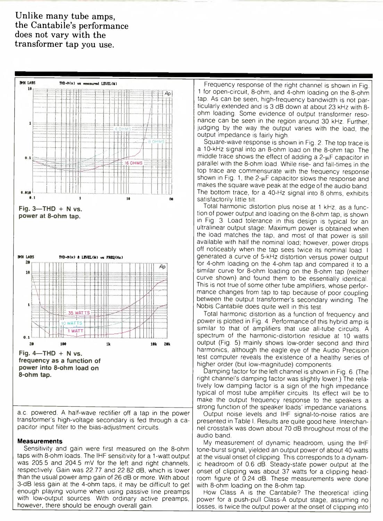**Unlike many tube amps, the Cantabile's performance does not vary with the transformer tap you use.**



a.c. powered. A half-wave rectifier off a tap in the power transformer's high-voltage secondary is fed through a capacitor input filter to the bias-adjustment circuits.

## **Measurements**

Sensitivity and gain were first measured on the 8-ohm taps with 8-ohm loads. The IHF sensitivity for a 1-watt output was 205.5 and 204.5 mV for the left and right channels, respectively. Gain was 22.77 and 22.82 dB, which is lower than the usual power amp gain of 26 dB or more. With about 3-dB less gain at the 4-ohm taps, it may be difficult to get enough playing volume when using passive line preamps with low-output sources. With ordinary active preamps, however, there should be enough overall gain.

Frequency response of the right channel is shown in Fig. 1 for open-circuit, 8-ohm, and 4-ohm loading on the 8-ohm tap. As can be seen, high-frequency bandwidth is not particularly extended and is 3 dB down at about 23 kHz with 8 ohm loading. Some evidence of output transformer resonance can be seen in the region around 30 kHz. Further, judging by the way the output varies with the load, the output impedance is fairly high.

Square-wave response is shown in Fig. 2. The top trace is a 10-kHz signal into an 8-ohm load on the 8-ohm tap. The middle trace shows the effect of adding a  $2-\mu$ F capacitor in parallel with the 8-ohm load. While rise- and fall-times in the top trace are commensurate with the frequency response shown in Fig. 1, the  $2-\mu$ F capacitor slows the response and makes the square wave peak at the edge of the audio band. The bottom trace, for a 40-Hz signal into 8 ohms, exhibits satisfactorily little tilt.

Total harmonic distortion plus noise at 1 kHz, as a function of power output and loading on the 8-ohm tap, is shown in Fig. 3. Load tolerance in this design is typical for an ultralinear output stage: Maximum power is obtained when the load matches the tap, and most of that power is still available with half the nominal load; however, power drops off noticeably when the tap sees twice its nominal load. I generated a curve of 5-kHz distortion versus power output for 4-ohm loading on the 4-ohm tap and compared it to a similar curve for 8-ohm loading on the 8-ohm tap (neither curve shown) and found them to be essentially identical. This is not true of some other tube amplifiers, whose performance changes from tap to tap because of poor coupling between the output transformer's secondary winding. The Nobis Cantabile does quite well in this test.

Total harmonic distortion as a function of frequency and power is plotted in Fig. 4. Performance of this hybrid amp is similar to that of amplifiers that use all-tube circuits. A spectrum of the harmonic-distortion residue at 10 watts output (Fig. 5) mainly shows low-order second and third harmonics, although the eagle eye of the Audio Precision test computer reveals the existence of a healthy series of higher order (but low-magnitude) components.

Damping factor for the left channel is shown in Fig. 6. (The right channel's damping factor was slightly lower.) The relatively low damping factor is a sign of the high impedance typical of most tube amplifier circuits. Its effect will be to make the output frequency response to the speakers a strong function of the speaker loads' impedance variations.

Output noise levels and IHF signal-to-noise ratios are presented in Table I. Results are quite good here. Interchannel crosstalk was down about 70 dB throughout most of the audio band.

My measurement of dynamic headroom, using the IHF tone-burst signal, yielded an output power of about 40 watts at the visual onset of clipping. This corresponds to a dynamic headroom of 0.6 dB. Steady-state power output at the onset of clipping was about 37 watts for a clipping headroom figure of 0.24 dB. These measurements were done with 8-ohm loading on the 8-ohm tap.

How Class A is the Cantabile? The theoretical idling power for a push-pull Class-A output stage, assuming no losses, is twice the output power at the onset of clipping into